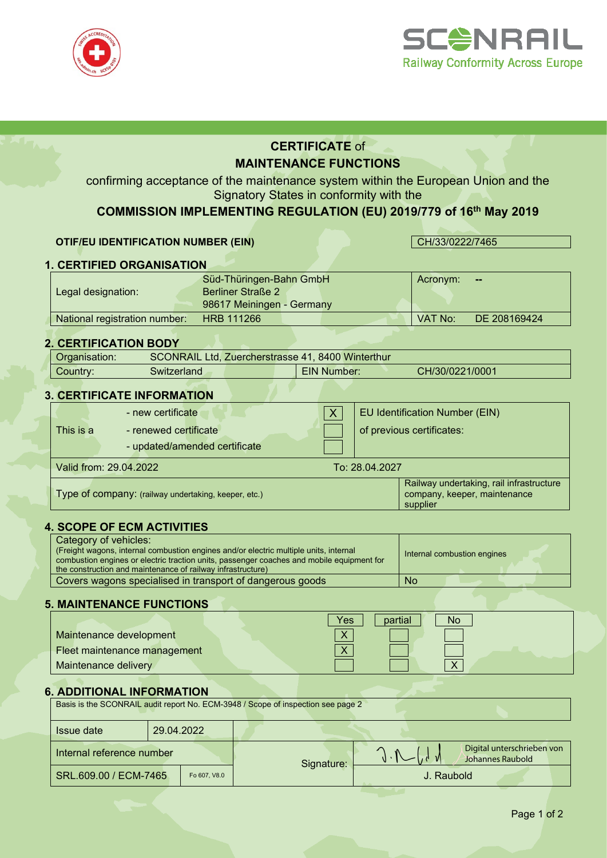



# **CERTIFICATE** of **MAINTENANCE FUNCTIONS**

confirming acceptance of the maintenance system within the European Union and the Signatory States in conformity with the

# **COMMISSION IMPLEMENTING REGULATION (EU) 2019/779 of 16th May 2019**

#### **OTIF/EU IDENTIFICATION NUMBER (EIN)** CH/33/0222/7465

# **1. CERTIFIED ORGANISATION**

|                               | Süd-Thüringen-Bahn GmbH   | Acronym: | --           |
|-------------------------------|---------------------------|----------|--------------|
| Legal designation:            | Berliner Straße 2         |          |              |
|                               | 98617 Meiningen - Germany |          |              |
| National registration number: | <b>HRB 111266</b>         | VAT No:  | DE 208169424 |

#### **2. CERTIFICATION BODY**

| SCONRAIL Ltd, Zuercherstrasse 41, 8400 Winterthur<br>Organisation: |              |  |                    |                 |  |
|--------------------------------------------------------------------|--------------|--|--------------------|-----------------|--|
| Country:                                                           | Switzerland. |  | <b>EIN Number:</b> | CH/30/0221/0001 |  |
|                                                                    |              |  |                    |                 |  |

#### **3. CERTIFICATE INFORMATION**

|           | - new certificate                                    | <b>EU Identification Number (EIN)</b>                                                |
|-----------|------------------------------------------------------|--------------------------------------------------------------------------------------|
| This is a | - renewed certificate                                | of previous certificates:                                                            |
|           | - updated/amended certificate                        |                                                                                      |
|           | Valid from: 29.04.2022                               | To: 28.04.2027                                                                       |
|           | Type of company: (railway undertaking, keeper, etc.) | Railway undertaking, rail infrastructure<br>company, keeper, maintenance<br>supplier |

#### **4. SCOPE OF ECM ACTIVITIES**

| Category of vehicles:<br>(Freight wagons, internal combustion engines and/or electric multiple units, internal<br>combustion engines or electric traction units, passenger coaches and mobile equipment for<br>the construction and maintenance of railway infrastructure) | Internal combustion engines |
|----------------------------------------------------------------------------------------------------------------------------------------------------------------------------------------------------------------------------------------------------------------------------|-----------------------------|
| Covers wagons specialised in transport of dangerous goods                                                                                                                                                                                                                  | No                          |

## **5. MAINTENANCE FUNCTIONS**

|                              | Yes<br>partial<br>No |
|------------------------------|----------------------|
| Maintenance development      | $\mathbf{v}$         |
| Fleet maintenance management | $\mathbf{v}$         |
| Maintenance delivery         |                      |

#### **6. ADDITIONAL INFORMATION**

| Basis is the SCONRAIL audit report No. ECM-3948 / Scope of inspection see page 2 |            |  |            |            |                                                |  |  |
|----------------------------------------------------------------------------------|------------|--|------------|------------|------------------------------------------------|--|--|
| <b>Issue date</b>                                                                | 29.04.2022 |  |            |            |                                                |  |  |
| Internal reference number                                                        |            |  | Signature: |            | Digital unterschrieben von<br>Johannes Raubold |  |  |
| SRL.609.00 / ECM-7465<br>Fo 607, V8.0                                            |            |  |            | J. Raubold |                                                |  |  |